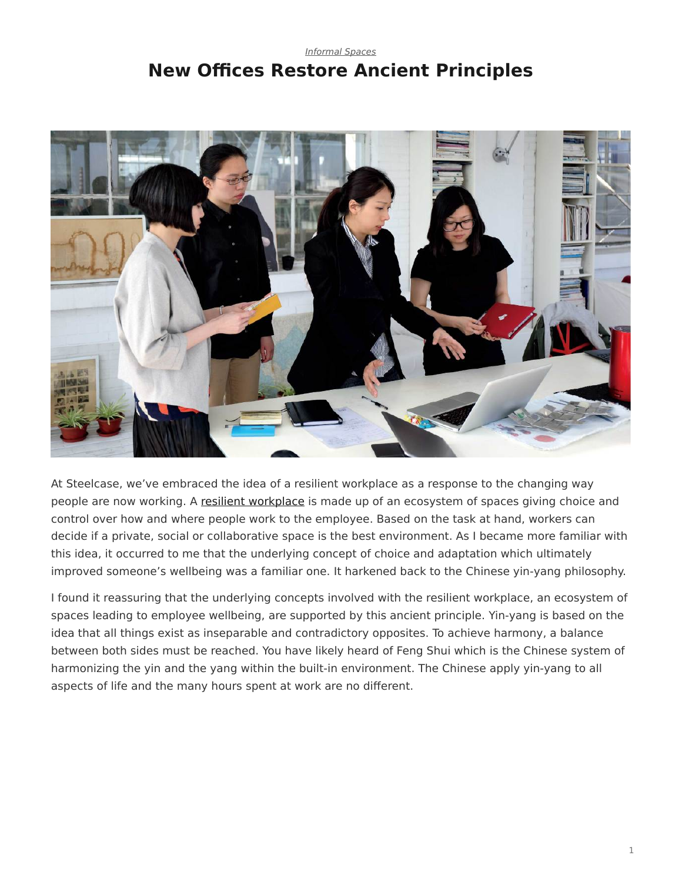## <span id="page-0-0"></span>*[Informal Spaces](https://www.steelcase.com/research/topics/informal-spaces/)* **New Offices Restore Ancient Principles**



At Steelcase, we've embraced the idea of a resilient workplace as a response to the changing way people are now working. A [resilient workplace](https://www.steelcase.com/spaces-inspiration/resilient-workplace/) is made up of an ecosystem of spaces giving choice and control over how and where people work to the employee. Based on the task at hand, workers can decide if a private, social or collaborative space is the best environment. As I became more familiar with this idea, it occurred to me that the underlying concept of choice and adaptation which ultimately improved someone's wellbeing was a familiar one. It harkened back to the Chinese yin-yang philosophy.

I found it reassuring that the underlying concepts involved with the resilient workplace, an ecosystem of spaces leading to employee wellbeing, are supported by this ancient principle. Yin-yang is based on the idea that all things exist as inseparable and contradictory opposites. To achieve harmony, a balance between both sides must be reached. You have likely heard of Feng Shui which is the Chinese system of harmonizing the yin and the yang within the built-in environment. The Chinese apply yin-yang to all aspects of life and the many hours spent at work are no different.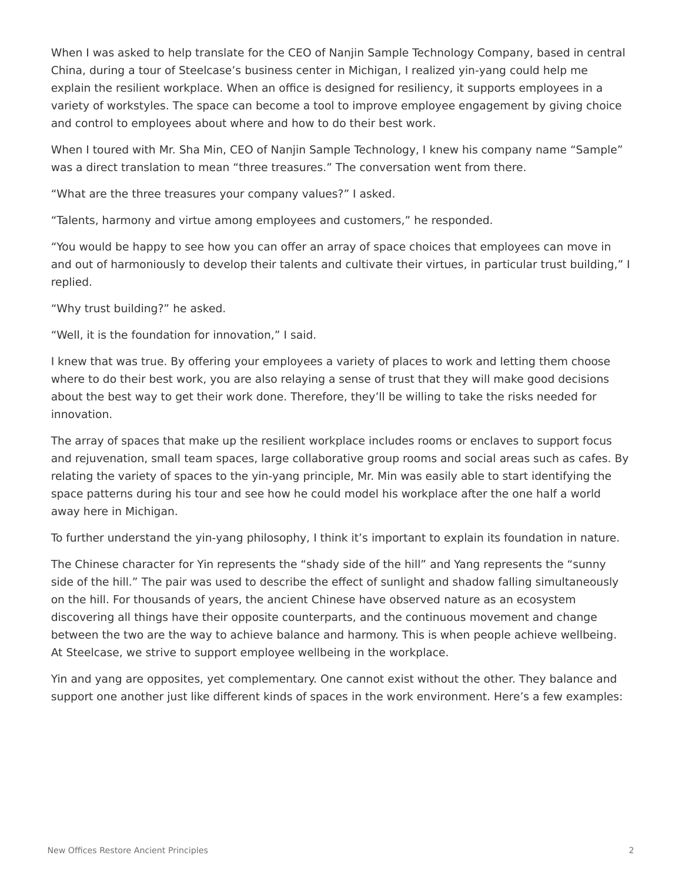When I was asked to help translate for the CEO of Nanjin Sample Technology Company, based in central China, during a tour of Steelcase's business center in Michigan, I realized yin-yang could help me explain the resilient workplace. When an office is designed for resiliency, it supports employees in a variety of workstyles. The space can become a tool to improve employee engagement by giving choice and control to employees about where and how to do their best work.

When I toured with Mr. Sha Min, CEO of Nanjin Sample Technology, I knew his company name "Sample" was a direct translation to mean "three treasures." The conversation went from there.

"What are the three treasures your company values?" I asked.

"Talents, harmony and virtue among employees and customers," he responded.

"You would be happy to see how you can offer an array of space choices that employees can move in and out of harmoniously to develop their talents and cultivate their virtues, in particular trust building," I replied.

"Why trust building?" he asked.

"Well, it is the foundation for innovation," I said.

I knew that was true. By offering your employees a variety of places to work and letting them choose where to do their best work, you are also relaying a sense of trust that they will make good decisions about the best way to get their work done. Therefore, they'll be willing to take the risks needed for innovation.

The array of spaces that make up the resilient workplace includes rooms or enclaves to support focus and rejuvenation, small team spaces, large collaborative group rooms and social areas such as cafes. By relating the variety of spaces to the yin-yang principle, Mr. Min was easily able to start identifying the space patterns during his tour and see how he could model his workplace after the one half a world away here in Michigan.

To further understand the yin-yang philosophy, I think it's important to explain its foundation in nature.

The Chinese character for Yin represents the "shady side of the hill" and Yang represents the "sunny side of the hill." The pair was used to describe the effect of sunlight and shadow falling simultaneously on the hill. For thousands of years, the ancient Chinese have observed nature as an ecosystem discovering all things have their opposite counterparts, and the continuous movement and change between the two are the way to achieve balance and harmony. This is when people achieve wellbeing. At Steelcase, we strive to support employee wellbeing in the workplace.

Yin and yang are opposites, yet complementary. One cannot exist without the other. They balance and support one another just like different kinds of spaces in the work environment. Here's a few examples: